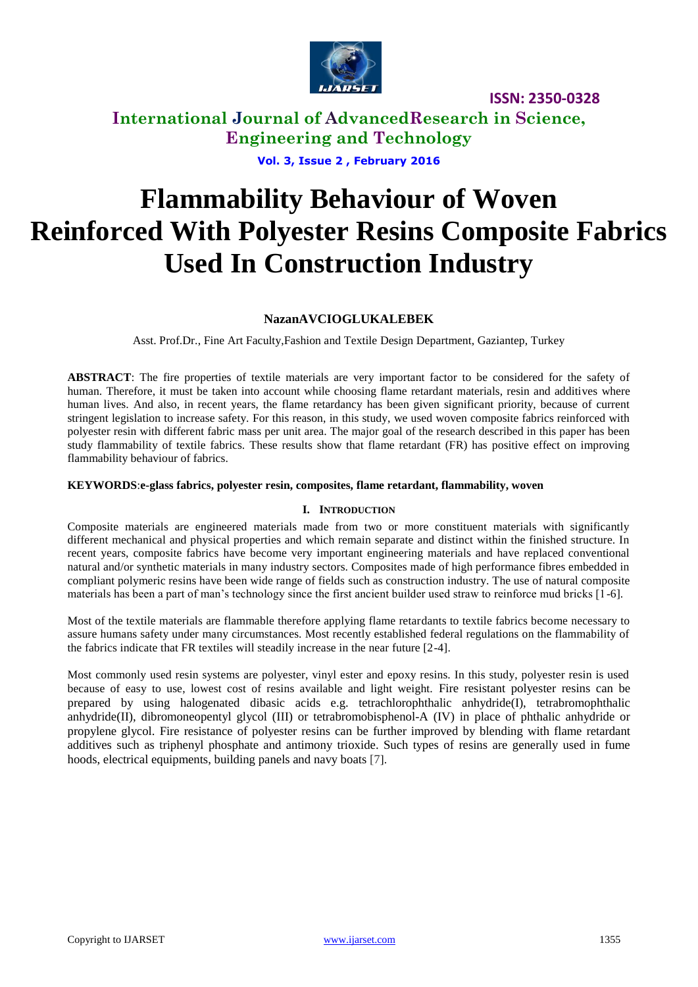

**International Journal of AdvancedResearch in Science, Engineering and Technology**

**Vol. 3, Issue 2 , February 2016**

# **Flammability Behaviour of Woven Reinforced With Polyester Resins Composite Fabrics Used In Construction Industry**

#### **NazanAVCIOGLUKALEBEK**

Asst. Prof.Dr., Fine Art Faculty,Fashion and Textile Design Department, Gaziantep, Turkey

**ABSTRACT**: The fire properties of textile materials are very important factor to be considered for the safety of human. Therefore, it must be taken into account while choosing flame retardant materials, resin and additives where human lives. And also, in recent years, the flame retardancy has been given significant priority, because of current stringent legislation to increase safety. For this reason, in this study, we used woven composite fabrics reinforced with polyester resin with different fabric mass per unit area. The major goal of the research described in this paper has been study flammability of textile fabrics. These results show that flame retardant (FR) has positive effect on improving flammability behaviour of fabrics.

#### **KEYWORDS**:**e-glass fabrics, polyester resin, composites, flame retardant, flammability, woven**

#### **I. INTRODUCTION**

Composite materials are engineered materials made from two or more constituent materials with significantly different mechanical and physical properties and which remain separate and distinct within the finished structure. In recent years, composite fabrics have become very important engineering materials and have replaced conventional natural and/or synthetic materials in many industry sectors. Composites made of high performance fibres embedded in compliant polymeric resins have been wide range of fields such as construction industry. The use of natural composite materials has been a part of man's technology since the first ancient builder used straw to reinforce mud bricks [1-6].

Most of the textile materials are flammable therefore applying flame retardants to textile fabrics become necessary to assure humans safety under many circumstances. Most recently established federal regulations on the flammability of the fabrics indicate that FR textiles will steadily increase in the near future [2-4].

Most commonly used resin systems are polyester, vinyl ester and epoxy resins. In this study, polyester resin is used because of easy to use, lowest cost of resins available and light weight. Fire resistant polyester resins can be prepared by using halogenated dibasic acids e.g. tetrachlorophthalic anhydride(I), tetrabromophthalic anhydride(II), dibromoneopentyl glycol (III) or tetrabromobisphenol-A (IV) in place of phthalic anhydride or propylene glycol. Fire resistance of polyester resins can be further improved by blending with flame retardant additives such as triphenyl phosphate and antimony trioxide. Such types of resins are generally used in fume hoods, electrical equipments, building panels and navy boats [7].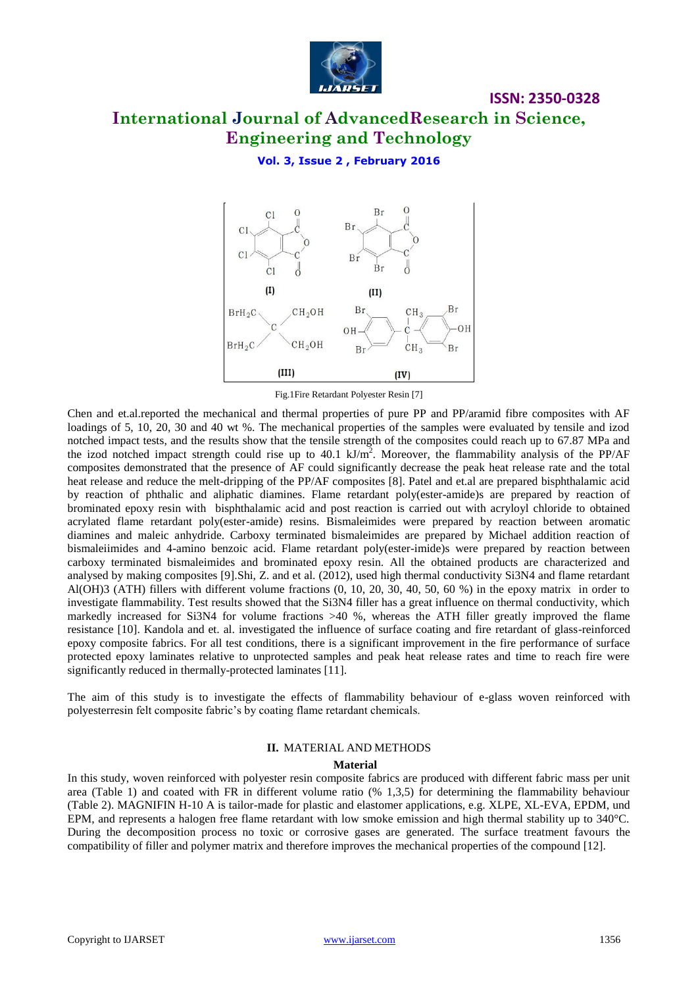

# **International Journal of AdvancedResearch in Science, Engineering and Technology**

**ISSN: 2350-0328**

#### **Vol. 3, Issue 2 , February 2016**



Fig.1Fire Retardant Polyester Resin [7]

Chen and et.al.reported the mechanical and thermal properties of pure PP and PP/aramid fibre composites with AF loadings of 5, 10, 20, 30 and 40 wt %. The mechanical properties of the samples were evaluated by tensile and izod notched impact tests, and the results show that the tensile strength of the composites could reach up to 67.87 MPa and the izod notched impact strength could rise up to 40.1  $kJ/m<sup>2</sup>$ . Moreover, the flammability analysis of the PP/AF composites demonstrated that the presence of AF could significantly decrease the peak heat release rate and the total heat release and reduce the melt-dripping of the PP/AF composites [8]. Patel and et.al are prepared bisphthalamic acid by reaction of phthalic and aliphatic diamines. Flame retardant poly(ester-amide)s are prepared by reaction of brominated epoxy resin with bisphthalamic acid and post reaction is carried out with acryloyl chloride to obtained acrylated flame retardant poly(ester-amide) resins. Bismaleimides were prepared by reaction between aromatic diamines and maleic anhydride. Carboxy terminated bismaleimides are prepared by Michael addition reaction of bismaleiimides and 4-amino benzoic acid. Flame retardant poly(ester-imide)s were prepared by reaction between carboxy terminated bismaleimides and brominated epoxy resin. All the obtained products are characterized and analysed by making composites [9].Shi, Z. and et al. (2012), used high thermal conductivity Si3N4 and flame retardant Al(OH)3 (ATH) fillers with different volume fractions (0, 10, 20, 30, 40, 50, 60 %) in the epoxy matrix in order to investigate flammability. Test results showed that the Si3N4 filler has a great influence on thermal conductivity, which markedly increased for Si3N4 for volume fractions >40 %, whereas the ATH filler greatly improved the flame resistance [10]. Kandola and et. al. investigated the influence of surface coating and fire retardant of glass-reinforced epoxy composite fabrics. For all test conditions, there is a significant improvement in the fire performance of surface protected epoxy laminates relative to unprotected samples and peak heat release rates and time to reach fire were significantly reduced in thermally-protected laminates [11].

The aim of this study is to investigate the effects of flammability behaviour of e-glass woven reinforced with polyesterresin felt composite fabric's by coating flame retardant chemicals.

#### **II.** MATERIAL AND METHODS

#### **Material**

In this study, woven reinforced with polyester resin composite fabrics are produced with different fabric mass per unit area (Table 1) and coated with FR in different volume ratio (% 1,3,5) for determining the flammability behaviour (Table 2). MAGNIFIN H-10 A is tailor-made for plastic and elastomer applications, e.g. XLPE, XL-EVA, EPDM, und EPM, and represents a halogen free flame retardant with low smoke emission and high thermal stability up to 340°C. During the decomposition process no toxic or corrosive gases are generated. The surface treatment favours the compatibility of filler and polymer matrix and therefore improves the mechanical properties of the compound [12].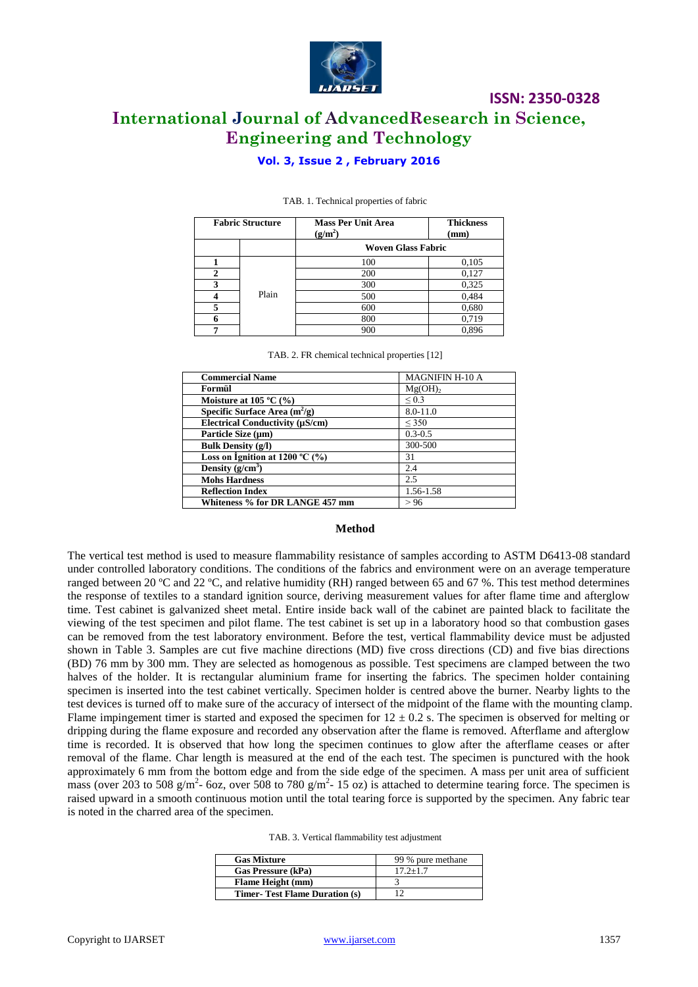

# **ISSN: 2350-0328 International Journal of AdvancedResearch in Science, Engineering and Technology**

#### **Vol. 3, Issue 2 , February 2016**

| <b>Fabric Structure</b> |       | <b>Mass Per Unit Area</b><br>$(g/m^2)$ | <b>Thickness</b><br>(mm) |  |  |  |
|-------------------------|-------|----------------------------------------|--------------------------|--|--|--|
|                         |       | <b>Woven Glass Fabric</b>              |                          |  |  |  |
|                         |       | 100                                    | 0,105                    |  |  |  |
|                         | Plain | 200                                    | 0,127                    |  |  |  |
| 3                       |       | 300                                    | 0,325                    |  |  |  |
|                         |       | 500                                    | 0,484                    |  |  |  |
|                         |       | 600                                    | 0,680                    |  |  |  |
|                         |       | 800                                    | 0,719                    |  |  |  |
|                         |       | 900                                    | 0,896                    |  |  |  |

#### TAB. 1. Technical properties of fabric

| TAB. 2. FR chemical technical properties [12] |  |
|-----------------------------------------------|--|
|-----------------------------------------------|--|

| <b>Commercial Name</b>                    | <b>MAGNIFIN H-10 A</b> |  |  |
|-------------------------------------------|------------------------|--|--|
| Formül                                    | Mg(OH) <sub>2</sub>    |  |  |
| Moisture at $105 °C$ (%)                  | ${}_{0.3}$             |  |  |
| Specific Surface Area $(m^2/g)$           | $8.0 - 11.0$           |  |  |
| Electrical Conductivity (µS/cm)           | $\leq$ 350             |  |  |
| Particle Size (µm)                        | $0.3 - 0.5$            |  |  |
| <b>Bulk Density (g/l)</b>                 | 300-500                |  |  |
| Loss on Ignition at 1200 $^{\circ}$ C (%) | 31                     |  |  |
| Density $(g/cm^3)$                        | 2.4                    |  |  |
| <b>Mohs Hardness</b>                      | 2.5                    |  |  |
| <b>Reflection Index</b>                   | 1.56-1.58              |  |  |
| Whiteness % for DR LANGE 457 mm           | > 96                   |  |  |

#### **Method**

The vertical test method is used to measure flammability resistance of samples according to ASTM D6413-08 standard under controlled laboratory conditions. The conditions of the fabrics and environment were on an average temperature ranged between 20 ºC and 22 ºC, and relative humidity (RH) ranged between 65 and 67 %. This test method determines the response of textiles to a standard ignition source, deriving measurement values for after flame time and afterglow time. Test cabinet is galvanized sheet metal. Entire inside back wall of the cabinet are painted black to facilitate the viewing of the test specimen and pilot flame. The test cabinet is set up in a laboratory hood so that combustion gases can be removed from the test laboratory environment. Before the test, vertical flammability device must be adjusted shown in Table 3. Samples are cut five machine directions (MD) five cross directions (CD) and five bias directions (BD) 76 mm by 300 mm. They are selected as homogenous as possible. Test specimens are clamped between the two halves of the holder. It is rectangular aluminium frame for inserting the fabrics. The specimen holder containing specimen is inserted into the test cabinet vertically. Specimen holder is centred above the burner. Nearby lights to the test devices is turned off to make sure of the accuracy of intersect of the midpoint of the flame with the mounting clamp. Flame impingement timer is started and exposed the specimen for  $12 \pm 0.2$  s. The specimen is observed for melting or dripping during the flame exposure and recorded any observation after the flame is removed. Afterflame and afterglow time is recorded. It is observed that how long the specimen continues to glow after the afterflame ceases or after removal of the flame. Char length is measured at the end of the each test. The specimen is punctured with the hook approximately 6 mm from the bottom edge and from the side edge of the specimen. A mass per unit area of sufficient mass (over 203 to 508 g/m<sup>2</sup>- 6oz, over 508 to 780 g/m<sup>2</sup>- 15 oz) is attached to determine tearing force. The specimen is raised upward in a smooth continuous motion until the total tearing force is supported by the specimen. Any fabric tear is noted in the charred area of the specimen.

| <b>Gas Mixture</b>                   | 99 % pure methane |  |  |
|--------------------------------------|-------------------|--|--|
| <b>Gas Pressure (kPa)</b>            | $17.2 + 1.7$      |  |  |
| <b>Flame Height (mm)</b>             |                   |  |  |
| <b>Timer-Test Flame Duration (s)</b> |                   |  |  |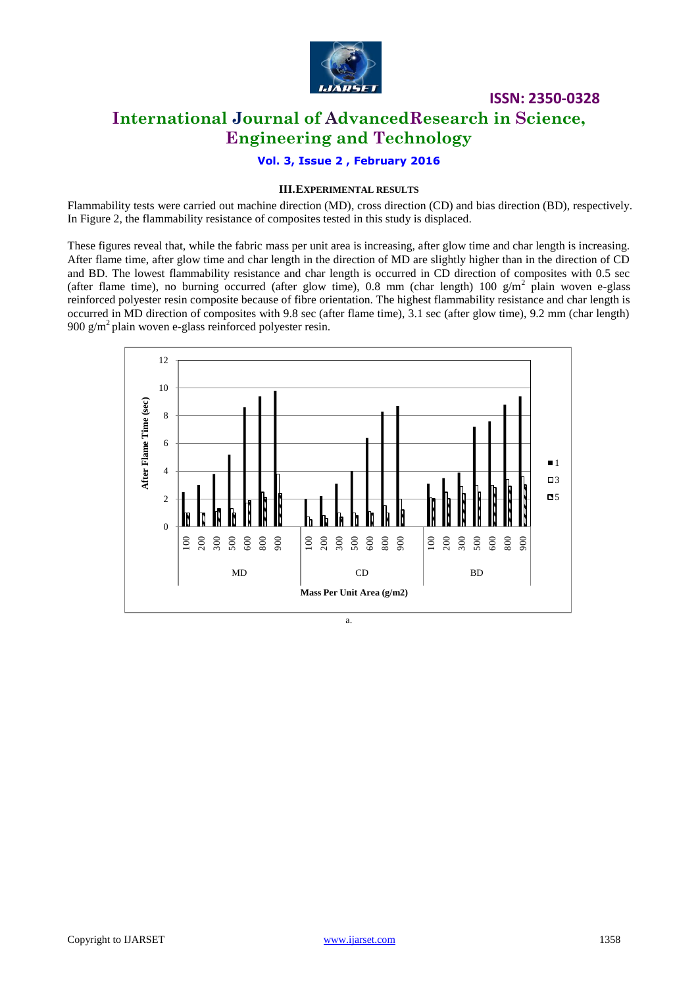

# **ISSN: 2350-0328 International Journal of AdvancedResearch in Science, Engineering and Technology**

#### **Vol. 3, Issue 2 , February 2016**

#### **III.EXPERIMENTAL RESULTS**

Flammability tests were carried out machine direction (MD), cross direction (CD) and bias direction (BD), respectively. In Figure 2, the flammability resistance of composites tested in this study is displaced.

These figures reveal that, while the fabric mass per unit area is increasing, after glow time and char length is increasing. After flame time, after glow time and char length in the direction of MD are slightly higher than in the direction of CD and BD. The lowest flammability resistance and char length is occurred in CD direction of composites with 0.5 sec (after flame time), no burning occurred (after glow time), 0.8 mm (char length) 100  $g/m^2$  plain woven e-glass reinforced polyester resin composite because of fibre orientation. The highest flammability resistance and char length is occurred in MD direction of composites with 9.8 sec (after flame time), 3.1 sec (after glow time), 9.2 mm (char length) 900 g/m<sup>2</sup> plain woven e-glass reinforced polyester resin.



a.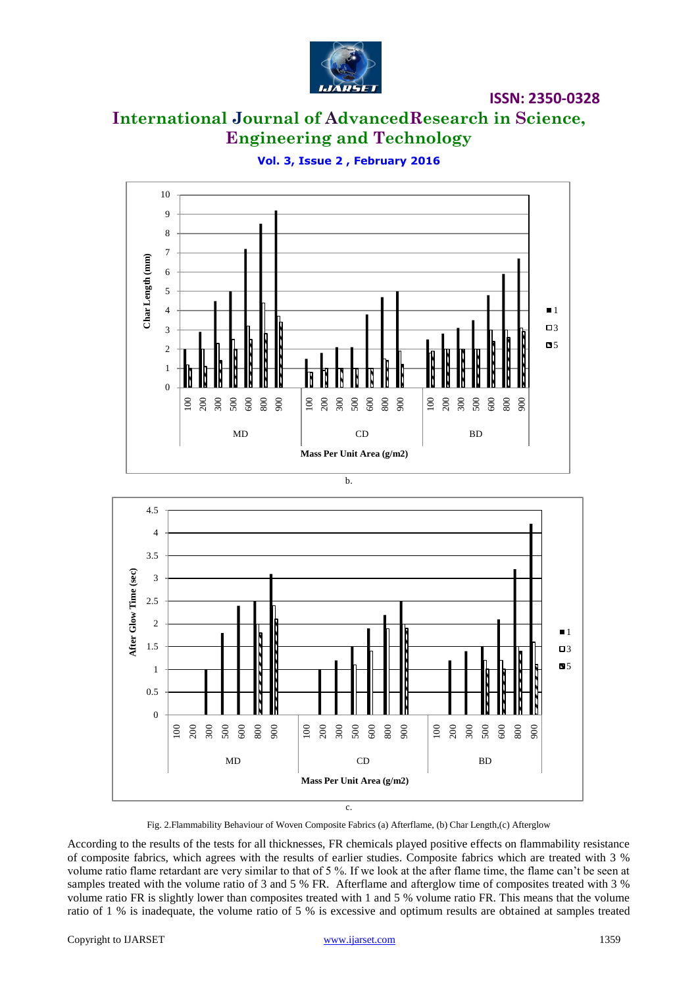

# **International Journal of AdvancedResearch in Science, Engineering and Technology**

**Vol. 3, Issue 2 , February 2016**





c.

Fig. 2.Flammability Behaviour of Woven Composite Fabrics (a) Afterflame, (b) Char Length,(c) Afterglow

According to the results of the tests for all thicknesses, FR chemicals played positive effects on flammability resistance of composite fabrics, which agrees with the results of earlier studies. Composite fabrics which are treated with 3 % volume ratio flame retardant are very similar to that of 5 %. If we look at the after flame time, the flame can't be seen at samples treated with the volume ratio of 3 and 5 % FR. Afterflame and afterglow time of composites treated with 3 % volume ratio FR is slightly lower than composites treated with 1 and 5 % volume ratio FR. This means that the volume ratio of 1 % is inadequate, the volume ratio of 5 % is excessive and optimum results are obtained at samples treated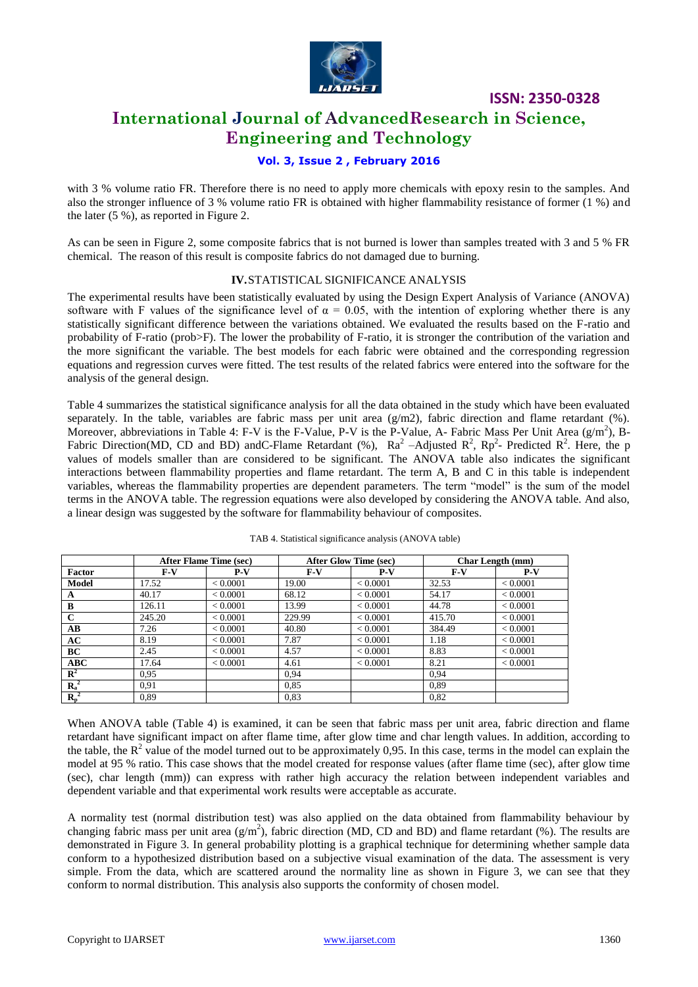

### **International Journal of AdvancedResearch in Science, Engineering and Technology**

#### **Vol. 3, Issue 2 , February 2016**

with 3 % volume ratio FR. Therefore there is no need to apply more chemicals with epoxy resin to the samples. And also the stronger influence of 3 % volume ratio FR is obtained with higher flammability resistance of former (1 %) and the later (5 %), as reported in Figure 2.

As can be seen in Figure 2, some composite fabrics that is not burned is lower than samples treated with 3 and 5 % FR chemical. The reason of this result is composite fabrics do not damaged due to burning.

#### **IV.**STATISTICAL SIGNIFICANCE ANALYSIS

The experimental results have been statistically evaluated by using the Design Expert Analysis of Variance (ANOVA) software with F values of the significance level of  $\alpha = 0.05$ , with the intention of exploring whether there is any statistically significant difference between the variations obtained. We evaluated the results based on the F-ratio and probability of F-ratio (prob>F). The lower the probability of F-ratio, it is stronger the contribution of the variation and the more significant the variable. The best models for each fabric were obtained and the corresponding regression equations and regression curves were fitted. The test results of the related fabrics were entered into the software for the analysis of the general design.

Table 4 summarizes the statistical significance analysis for all the data obtained in the study which have been evaluated separately. In the table, variables are fabric mass per unit area  $(g/m2)$ , fabric direction and flame retardant (%). Moreover, abbreviations in Table 4: F-V is the F-Value, P-V is the P-Value, A- Fabric Mass Per Unit Area  $(g/m^2)$ , B-Fabric Direction(MD, CD and BD) and C-Flame Retardant (%),  $Ra^2$  -Adjusted  $R^2$ ,  $Rp^2$ - Predicted  $R^2$ . Here, the p values of models smaller than are considered to be significant. The ANOVA table also indicates the significant interactions between flammability properties and flame retardant. The term A, B and C in this table is independent variables, whereas the flammability properties are dependent parameters. The term "model" is the sum of the model terms in the ANOVA table. The regression equations were also developed by considering the ANOVA table. And also, a linear design was suggested by the software for flammability behaviour of composites.

|                        | After Flame Time (sec) |          | <b>After Glow Time (sec)</b> |          | <b>Char Length (mm)</b> |          |
|------------------------|------------------------|----------|------------------------------|----------|-------------------------|----------|
| Factor                 | $F-V$                  | $P-V$    | $F-V$                        | $P-V$    | $F-V$                   | $P-V$    |
| Model                  | 17.52                  | < 0.0001 | 19.00                        | < 0.0001 | 32.53                   | < 0.0001 |
| A                      | 40.17                  | < 0.0001 | 68.12                        | < 0.0001 | 54.17                   | < 0.0001 |
| B                      | 126.11                 | < 0.0001 | 13.99                        | < 0.0001 | 44.78                   | < 0.0001 |
| $\mathbf C$            | 245.20                 | < 0.0001 | 229.99                       | < 0.0001 | 415.70                  | < 0.0001 |
| $\mathbf{A}\mathbf{B}$ | 7.26                   | < 0.0001 | 40.80                        | < 0.0001 | 384.49                  | < 0.0001 |
| AC                     | 8.19                   | < 0.0001 | 7.87                         | < 0.0001 | 1.18                    | < 0.0001 |
| BC                     | 2.45                   | < 0.0001 | 4.57                         | < 0.0001 | 8.83                    | < 0.0001 |
| ABC                    | 17.64                  | < 0.0001 | 4.61                         | < 0.0001 | 8.21                    | < 0.0001 |
| $\mathbf{R}^2$         | 0.95                   |          | 0.94                         |          | 0.94                    |          |
| $R_a^2$                | 0.91                   |          | 0.85                         |          | 0.89                    |          |
| $R_p^2$                | 0,89                   |          | 0.83                         |          | 0,82                    |          |

TAB 4. Statistical significance analysis (ANOVA table)

When ANOVA table (Table 4) is examined, it can be seen that fabric mass per unit area, fabric direction and flame retardant have significant impact on after flame time, after glow time and char length values. In addition, according to the table, the  $R^2$  value of the model turned out to be approximately 0,95. In this case, terms in the model can explain the model at 95 % ratio. This case shows that the model created for response values (after flame time (sec), after glow time (sec), char length (mm)) can express with rather high accuracy the relation between independent variables and dependent variable and that experimental work results were acceptable as accurate.

A normality test (normal distribution test) was also applied on the data obtained from flammability behaviour by changing fabric mass per unit area  $(g/m^2)$ , fabric direction (MD, CD and BD) and flame retardant (%). The results are demonstrated in Figure 3. In general probability plotting is a graphical technique for determining whether sample data conform to a hypothesized distribution based on a subjective visual examination of the data. The assessment is very simple. From the data, which are scattered around the normality line as shown in Figure 3, we can see that they conform to normal distribution. This analysis also supports the conformity of chosen model.